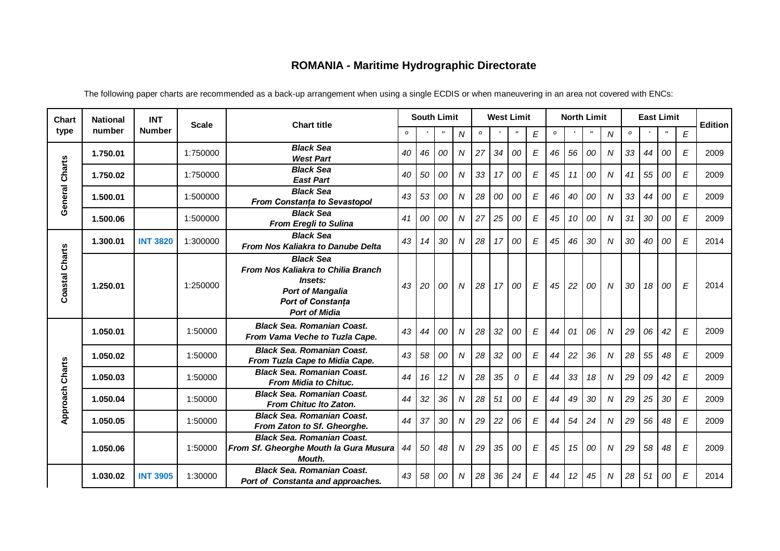## **ROMANIA - Maritime Hydrographic Directorate**

| <b>Chart</b>           | <b>National</b><br>number | <b>INT</b>      | <b>Scale</b> | <b>Chart title</b>                                                                                                                               | <b>South Limit</b> |    |             | <b>West Limit</b> |               |    |                   | <b>North Limit</b>        |               |    |                    |                  | <b>East Limit</b> | <b>Edition</b> |                   |                  |      |
|------------------------|---------------------------|-----------------|--------------|--------------------------------------------------------------------------------------------------------------------------------------------------|--------------------|----|-------------|-------------------|---------------|----|-------------------|---------------------------|---------------|----|--------------------|------------------|-------------------|----------------|-------------------|------------------|------|
| type                   |                           | <b>Number</b>   |              |                                                                                                                                                  | $\mathbf{o}$       |    | $^{\prime}$ | ${\cal N}$        | $\pmb{\circ}$ |    | $^{\prime\prime}$ | $\boldsymbol{\mathsf{E}}$ | $\pmb{\circ}$ |    | $\pmb{\mathsf{H}}$ | N                | $\pmb{\circ}$     |                | $^{\prime\prime}$ | E                |      |
| General Charts         | 1.750.01                  |                 | 1:750000     | <b>Black Sea</b><br><b>West Part</b>                                                                                                             | 40                 | 46 | 00          | $\boldsymbol{N}$  | 27            | 34 | 00                | $\boldsymbol{\mathsf{E}}$ | 46            | 56 | 00                 | $\overline{N}$   | 33                | 44             | 00                | E                | 2009 |
|                        | 1.750.02                  |                 | 1:750000     | <b>Black Sea</b><br><b>East Part</b>                                                                                                             | 40                 | 50 | 00          | $\boldsymbol{N}$  | 33            | 17 | 00                | $\boldsymbol{\mathsf{E}}$ | 45            | 11 | 00                 | $\boldsymbol{N}$ | 41                | 55             | 00                | E                | 2009 |
|                        | 1.500.01                  |                 | 1:500000     | <b>Black Sea</b><br>From Constanța to Sevastopol                                                                                                 | 43                 | 53 | 00          | ${\cal N}$        | 28            | 00 | 00                | $\boldsymbol{E}$          | 46            | 40 | 00                 | $\boldsymbol{N}$ | 33                | 44             | 00                | E                | 2009 |
|                        | 1.500.06                  |                 | 1:500000     | <b>Black Sea</b><br><b>From Eregli to Sulina</b>                                                                                                 | 41                 | 00 | 00          | ${\cal N}$        | 27            | 25 | 00                | $\boldsymbol{E}$          | 45            | 10 | 00                 | $\boldsymbol{N}$ | 31                | 30             | 00                | E                | 2009 |
| Coastal Charts         | 1.300.01                  | <b>INT 3820</b> | 1:300000     | <b>Black Sea</b><br>From Nos Kaliakra to Danube Delta                                                                                            | 43                 | 14 | 30          | N                 | 28            | 17 | 00                | $\boldsymbol{\mathsf{E}}$ | 45            | 46 | 30                 | N                | 30                | 40             | 00                | E                | 2014 |
|                        | 1.250.01                  |                 | 1:250000     | <b>Black Sea</b><br>From Nos Kaliakra to Chilia Branch<br>Insets:<br><b>Port of Mangalia</b><br><b>Port of Constanța</b><br><b>Port of Midia</b> | 43                 | 20 | 00          | N                 | 28            | 17 | 00                | $\boldsymbol{E}$          | 45            | 22 | 00                 | $\boldsymbol{N}$ | 30                | 18             | 00                | E                | 2014 |
| <b>Approach Charts</b> | 1.050.01                  |                 | 1:50000      | <b>Black Sea. Romanian Coast.</b><br>From Vama Veche to Tuzla Cape.                                                                              | 43                 | 44 | 00          | $\boldsymbol{N}$  | 28            | 32 | 00                | $\boldsymbol{E}$          | 44            | 01 | 06                 | N                | 29                | 06             | 42                | E                | 2009 |
|                        | 1.050.02                  |                 | 1:50000      | <b>Black Sea. Romanian Coast.</b><br>From Tuzla Cape to Midia Cape.                                                                              | 43                 | 58 | 00          | ${\cal N}$        | 28            | 32 | 00                | $\boldsymbol{E}$          | 44            | 22 | 36                 | N                | 28                | 55             | 48                | E                | 2009 |
|                        | 1.050.03                  |                 | 1:50000      | <b>Black Sea. Romanian Coast.</b><br>From Midia to Chituc.                                                                                       | 44                 | 16 | 12          | $\boldsymbol{N}$  | 28            | 35 | 0                 | $\boldsymbol{E}$          | 44            | 33 | 18                 | $\boldsymbol{N}$ | 29                | 09             | 42                | E                | 2009 |
|                        | 1.050.04                  |                 | 1:50000      | <b>Black Sea. Romanian Coast.</b><br>From Chituc Ito Zaton.                                                                                      | 44                 | 32 | 36          | ${\cal N}$        | 28            | 51 | 00                | $\boldsymbol{E}$          | 44            | 49 | 30                 | $\boldsymbol{N}$ | 29                | 25             | 30                | $\boldsymbol{E}$ | 2009 |
|                        | 1.050.05                  |                 | 1:50000      | <b>Black Sea. Romanian Coast.</b><br>From Zaton to Sf. Gheorghe.                                                                                 | 44                 | 37 | 30          | $\overline{N}$    | 29            | 22 | 06                | $\boldsymbol{E}$          | 44            | 54 | 24                 | $\overline{N}$   | 29                | 56             | 48                | E                | 2009 |
|                        | 1.050.06                  |                 | 1:50000      | <b>Black Sea. Romanian Coast.</b><br>From Sf. Gheorghe Mouth la Gura Musura<br>Mouth.                                                            | 44                 | 50 | 48          | ${\cal N}$        | 29            | 35 | 00                | $\boldsymbol{\mathsf{E}}$ | 45            | 15 | 00                 | $\overline{N}$   | 29                | 58             | 48                | E                | 2009 |
|                        | 1.030.02                  | <b>INT 3905</b> | 1:30000      | <b>Black Sea. Romanian Coast.</b><br>Port of Constanta and approaches.                                                                           | 43                 | 58 | 00          | N                 | 28            | 36 | 24                | $\boldsymbol{\mathsf{E}}$ | 44            | 12 | 45                 | $\boldsymbol{N}$ | 28                | 51             | 00                | E                | 2014 |
|                        |                           |                 |              |                                                                                                                                                  |                    |    |             |                   |               |    |                   |                           |               |    |                    |                  |                   |                |                   |                  |      |

The following paper charts are recommended as a back-up arrangement when using a single ECDIS or when maneuvering in an area not covered with ENCs: